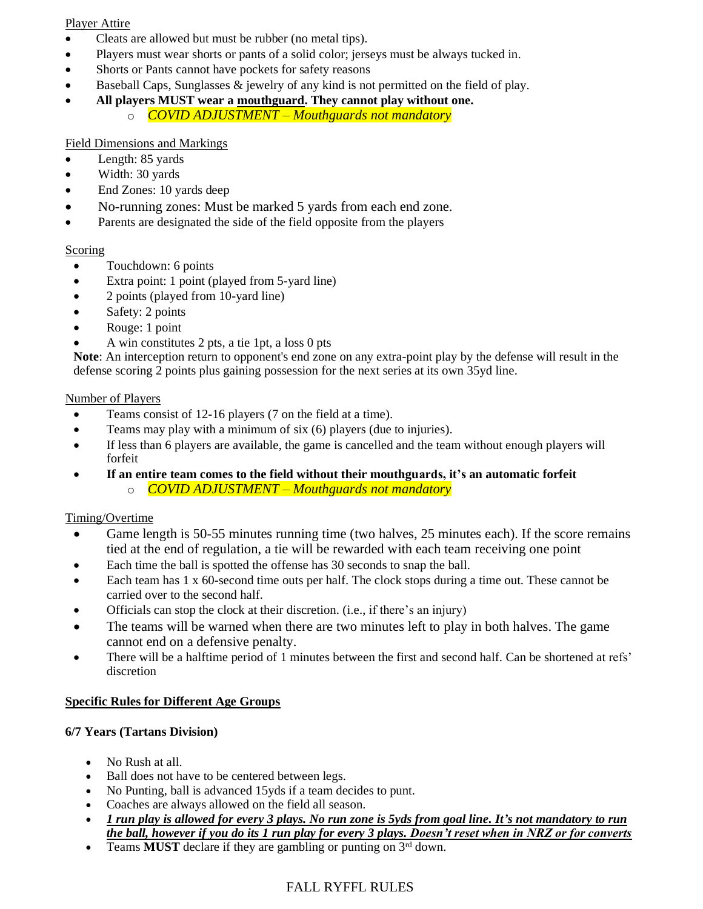#### Player Attire

- Cleats are allowed but must be rubber (no metal tips).
- Players must wear shorts or pants of a solid color; jerseys must be always tucked in.
- Shorts or Pants cannot have pockets for safety reasons
- Baseball Caps, Sunglasses  $\&$  jewelry of any kind is not permitted on the field of play.
- **All players MUST wear a mouthguard. They cannot play without one.**
	- o *COVID ADJUSTMENT – Mouthguards not mandatory*

## Field Dimensions and Markings

- Length: 85 yards
- Width: 30 yards
- End Zones: 10 yards deep
- No-running zones: Must be marked 5 yards from each end zone.
- Parents are designated the side of the field opposite from the players

#### Scoring

- Touchdown: 6 points
- Extra point: 1 point (played from 5-yard line)
- 2 points (played from 10-yard line)
- Safety: 2 points
- Rouge: 1 point
- A win constitutes 2 pts, a tie 1pt, a loss 0 pts

**Note**: An interception return to opponent's end zone on any extra-point play by the defense will result in the defense scoring 2 points plus gaining possession for the next series at its own 35yd line.

#### Number of Players

- Teams consist of 12-16 players (7 on the field at a time).
- Teams may play with a minimum of six (6) players (due to injuries).
- If less than 6 players are available, the game is cancelled and the team without enough players will forfeit
- **If an entire team comes to the field without their mouthguards, it's an automatic forfeit** o *COVID ADJUSTMENT – Mouthguards not mandatory*

#### Timing/Overtime

- Game length is 50-55 minutes running time (two halves, 25 minutes each). If the score remains tied at the end of regulation, a tie will be rewarded with each team receiving one point
- Each time the ball is spotted the offense has 30 seconds to snap the ball.
- Each team has 1 x 60-second time outs per half. The clock stops during a time out. These cannot be carried over to the second half.
- Officials can stop the clock at their discretion. (i.e., if there's an injury)
- The teams will be warned when there are two minutes left to play in both halves. The game cannot end on a defensive penalty.
- There will be a halftime period of 1 minutes between the first and second half. Can be shortened at refs' discretion

#### **Specific Rules for Different Age Groups**

#### **6/7 Years (Tartans Division)**

- No Rush at all.
- Ball does not have to be centered between legs.
- No Punting, ball is advanced 15 yds if a team decides to punt.
- Coaches are always allowed on the field all season.
- *1 run play is allowed for every 3 plays. No run zone is 5yds from goal line. It's not mandatory to run the ball, however if you do its 1 run play for every 3 plays. Doesn't reset when in NRZ or for converts*
- Teams **MUST** declare if they are gambling or punting on 3<sup>rd</sup> down.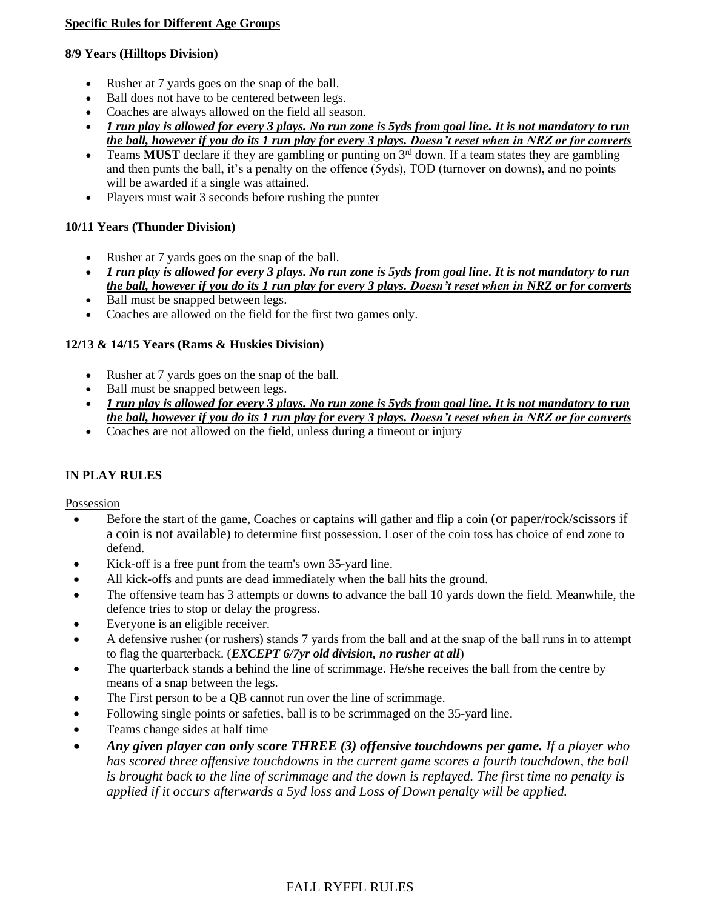#### **Specific Rules for Different Age Groups**

#### **8/9 Years (Hilltops Division)**

- Rusher at 7 yards goes on the snap of the ball.
- Ball does not have to be centered between legs.
- Coaches are always allowed on the field all season.
- *1 run play is allowed for every 3 plays. No run zone is 5yds from goal line. It is not mandatory to run the ball, however if you do its 1 run play for every 3 plays. Doesn't reset when in NRZ or for converts*
- Teams **MUST** declare if they are gambling or punting on  $3<sup>rd</sup>$  down. If a team states they are gambling and then punts the ball, it's a penalty on the offence (5yds), TOD (turnover on downs), and no points will be awarded if a single was attained.
- Players must wait 3 seconds before rushing the punter

#### **10/11 Years (Thunder Division)**

- Rusher at 7 yards goes on the snap of the ball.
- *1 run play is allowed for every 3 plays. No run zone is 5yds from goal line. It is not mandatory to run the ball, however if you do its 1 run play for every 3 plays. Doesn't reset when in NRZ or for converts*
- Ball must be snapped between legs.
- Coaches are allowed on the field for the first two games only.

#### **12/13 & 14/15 Years (Rams & Huskies Division)**

- Rusher at 7 yards goes on the snap of the ball.
- Ball must be snapped between legs.
- *1 run play is allowed for every 3 plays. No run zone is 5yds from goal line. It is not mandatory to run the ball, however if you do its 1 run play for every 3 plays. Doesn't reset when in NRZ or for converts*
- Coaches are not allowed on the field, unless during a timeout or injury

#### **IN PLAY RULES**

Possession

- Before the start of the game, Coaches or captains will gather and flip a coin (or paper/rock/scissors if a coin is not available) to determine first possession. Loser of the coin toss has choice of end zone to defend.
- Kick-off is a free punt from the team's own 35-yard line.
- All kick-offs and punts are dead immediately when the ball hits the ground.
- The offensive team has 3 attempts or downs to advance the ball 10 yards down the field. Meanwhile, the defence tries to stop or delay the progress.
- Everyone is an eligible receiver.
- A defensive rusher (or rushers) stands 7 yards from the ball and at the snap of the ball runs in to attempt to flag the quarterback. (*EXCEPT 6/7yr old division, no rusher at all*)
- The quarterback stands a behind the line of scrimmage. He/she receives the ball from the centre by means of a snap between the legs.
- The First person to be a QB cannot run over the line of scrimmage.
- Following single points or safeties, ball is to be scrimmaged on the 35-yard line.
- Teams change sides at half time
- *Any given player can only score THREE (3) offensive touchdowns per game. If a player who has scored three offensive touchdowns in the current game scores a fourth touchdown, the ball is brought back to the line of scrimmage and the down is replayed. The first time no penalty is applied if it occurs afterwards a 5yd loss and Loss of Down penalty will be applied.*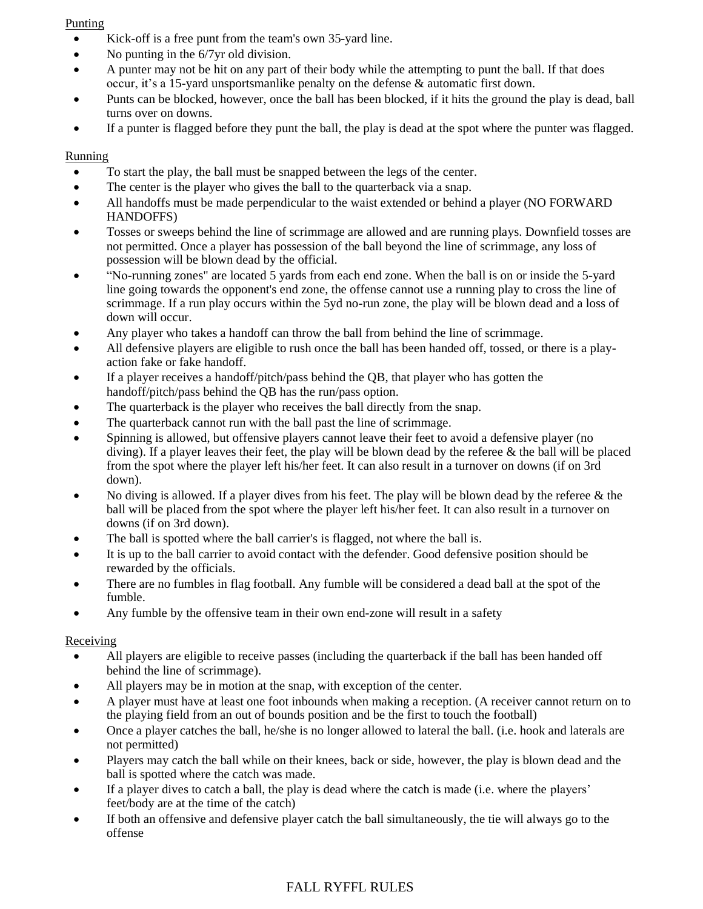#### Punting

- Kick-off is a free punt from the team's own 35-yard line.
- No punting in the 6/7yr old division.
- A punter may not be hit on any part of their body while the attempting to punt the ball. If that does occur, it's a 15-yard unsportsmanlike penalty on the defense & automatic first down.
- Punts can be blocked, however, once the ball has been blocked, if it hits the ground the play is dead, ball turns over on downs.
- If a punter is flagged before they punt the ball, the play is dead at the spot where the punter was flagged.

# Running

- To start the play, the ball must be snapped between the legs of the center.
- The center is the player who gives the ball to the quarterback via a snap.
- All handoffs must be made perpendicular to the waist extended or behind a player (NO FORWARD) HANDOFFS)
- Tosses or sweeps behind the line of scrimmage are allowed and are running plays. Downfield tosses are not permitted. Once a player has possession of the ball beyond the line of scrimmage, any loss of possession will be blown dead by the official.
- "No-running zones" are located 5 yards from each end zone. When the ball is on or inside the 5-yard line going towards the opponent's end zone, the offense cannot use a running play to cross the line of scrimmage. If a run play occurs within the 5yd no-run zone, the play will be blown dead and a loss of down will occur.
- Any player who takes a handoff can throw the ball from behind the line of scrimmage.
- All defensive players are eligible to rush once the ball has been handed off, tossed, or there is a playaction fake or fake handoff.
- If a player receives a handoff/pitch/pass behind the QB, that player who has gotten the handoff/pitch/pass behind the QB has the run/pass option.
- The quarterback is the player who receives the ball directly from the snap.
- The quarterback cannot run with the ball past the line of scrimmage.
- Spinning is allowed, but offensive players cannot leave their feet to avoid a defensive player (no diving). If a player leaves their feet, the play will be blown dead by the referee & the ball will be placed from the spot where the player left his/her feet. It can also result in a turnover on downs (if on 3rd down).
- No diving is allowed. If a player dives from his feet. The play will be blown dead by the referee & the ball will be placed from the spot where the player left his/her feet. It can also result in a turnover on downs (if on 3rd down).
- The ball is spotted where the ball carrier's is flagged, not where the ball is.
- It is up to the ball carrier to avoid contact with the defender. Good defensive position should be rewarded by the officials.
- There are no fumbles in flag football. Any fumble will be considered a dead ball at the spot of the fumble.
- Any fumble by the offensive team in their own end-zone will result in a safety

# Receiving

- All players are eligible to receive passes (including the quarterback if the ball has been handed off behind the line of scrimmage).
- All players may be in motion at the snap, with exception of the center.
- A player must have at least one foot inbounds when making a reception. (A receiver cannot return on to the playing field from an out of bounds position and be the first to touch the football)
- Once a player catches the ball, he/she is no longer allowed to lateral the ball. (i.e. hook and laterals are not permitted)
- Players may catch the ball while on their knees, back or side, however, the play is blown dead and the ball is spotted where the catch was made.
- If a player dives to catch a ball, the play is dead where the catch is made (i.e. where the players' feet/body are at the time of the catch)
- If both an offensive and defensive player catch the ball simultaneously, the tie will always go to the offense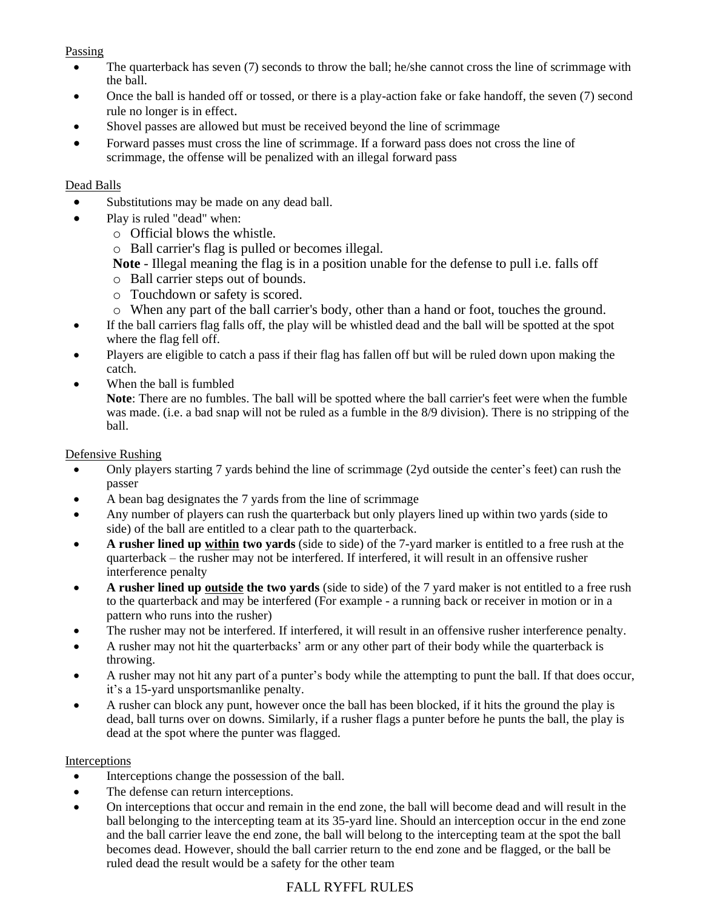### Passing

- The quarterback has seven (7) seconds to throw the ball; he/she cannot cross the line of scrimmage with the ball.
- Once the ball is handed off or tossed, or there is a play-action fake or fake handoff, the seven (7) second rule no longer is in effect.
- Shovel passes are allowed but must be received beyond the line of scrimmage
- Forward passes must cross the line of scrimmage. If a forward pass does not cross the line of scrimmage, the offense will be penalized with an illegal forward pass

#### Dead Balls

- Substitutions may be made on any dead ball.
- Play is ruled "dead" when:
	- o Official blows the whistle.
	- o Ball carrier's flag is pulled or becomes illegal.
	- **Note** Illegal meaning the flag is in a position unable for the defense to pull i.e. falls off
	- o Ball carrier steps out of bounds.
	- o Touchdown or safety is scored.
	- o When any part of the ball carrier's body, other than a hand or foot, touches the ground.
- If the ball carriers flag falls off, the play will be whistled dead and the ball will be spotted at the spot where the flag fell off.
- Players are eligible to catch a pass if their flag has fallen off but will be ruled down upon making the catch.
- When the ball is fumbled
	- **Note**: There are no fumbles. The ball will be spotted where the ball carrier's feet were when the fumble was made. (i.e. a bad snap will not be ruled as a fumble in the 8/9 division). There is no stripping of the ball.

#### Defensive Rushing

- Only players starting 7 yards behind the line of scrimmage (2yd outside the center's feet) can rush the passer
- A bean bag designates the 7 yards from the line of scrimmage
- Any number of players can rush the quarterback but only players lined up within two yards (side to side) of the ball are entitled to a clear path to the quarterback.
- **A rusher lined up within two yards** (side to side) of the 7-yard marker is entitled to a free rush at the quarterback – the rusher may not be interfered. If interfered, it will result in an offensive rusher interference penalty
- **A rusher lined up outside the two yards** (side to side) of the 7 yard maker is not entitled to a free rush to the quarterback and may be interfered (For example - a running back or receiver in motion or in a pattern who runs into the rusher)
- The rusher may not be interfered. If interfered, it will result in an offensive rusher interference penalty.
- A rusher may not hit the quarterbacks' arm or any other part of their body while the quarterback is throwing.
- A rusher may not hit any part of a punter's body while the attempting to punt the ball. If that does occur, it's a 15-yard unsportsmanlike penalty.
- A rusher can block any punt, however once the ball has been blocked, if it hits the ground the play is dead, ball turns over on downs. Similarly, if a rusher flags a punter before he punts the ball, the play is dead at the spot where the punter was flagged.

#### Interceptions

- Interceptions change the possession of the ball.
- The defense can return interceptions.
- On interceptions that occur and remain in the end zone, the ball will become dead and will result in the ball belonging to the intercepting team at its 35-yard line. Should an interception occur in the end zone and the ball carrier leave the end zone, the ball will belong to the intercepting team at the spot the ball becomes dead. However, should the ball carrier return to the end zone and be flagged, or the ball be ruled dead the result would be a safety for the other team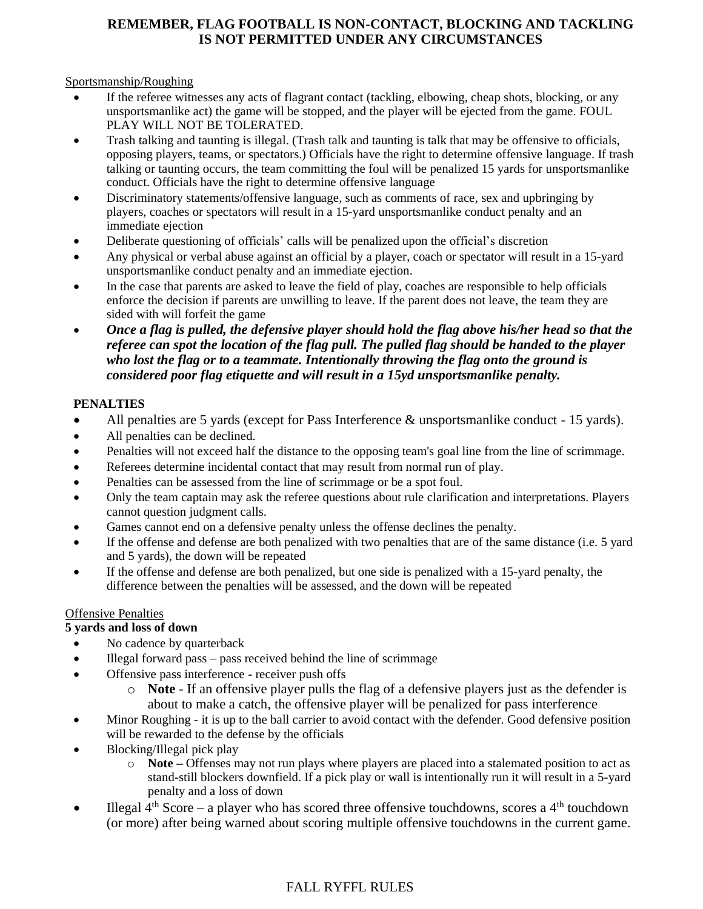# **REMEMBER, FLAG FOOTBALL IS NON-CONTACT, BLOCKING AND TACKLING IS NOT PERMITTED UNDER ANY CIRCUMSTANCES**

### Sportsmanship/Roughing

- If the referee witnesses any acts of flagrant contact (tackling, elbowing, cheap shots, blocking, or any unsportsmanlike act) the game will be stopped, and the player will be ejected from the game. FOUL PLAY WILL NOT BE TOLERATED.
- Trash talking and taunting is illegal. (Trash talk and taunting is talk that may be offensive to officials, opposing players, teams, or spectators.) Officials have the right to determine offensive language. If trash talking or taunting occurs, the team committing the foul will be penalized 15 yards for unsportsmanlike conduct. Officials have the right to determine offensive language
- Discriminatory statements/offensive language, such as comments of race, sex and upbringing by players, coaches or spectators will result in a 15-yard unsportsmanlike conduct penalty and an immediate ejection
- Deliberate questioning of officials' calls will be penalized upon the official's discretion
- Any physical or verbal abuse against an official by a player, coach or spectator will result in a 15-yard unsportsmanlike conduct penalty and an immediate ejection.
- In the case that parents are asked to leave the field of play, coaches are responsible to help officials enforce the decision if parents are unwilling to leave. If the parent does not leave, the team they are sided with will forfeit the game
- *Once a flag is pulled, the defensive player should hold the flag above his/her head so that the referee can spot the location of the flag pull. The pulled flag should be handed to the player who lost the flag or to a teammate. Intentionally throwing the flag onto the ground is considered poor flag etiquette and will result in a 15yd unsportsmanlike penalty.*

# **PENALTIES**

- All penalties are 5 yards (except for Pass Interference & unsportsmanlike conduct 15 yards).
- All penalties can be declined.
- Penalties will not exceed half the distance to the opposing team's goal line from the line of scrimmage.
- Referees determine incidental contact that may result from normal run of play.
- Penalties can be assessed from the line of scrimmage or be a spot foul.
- Only the team captain may ask the referee questions about rule clarification and interpretations. Players cannot question judgment calls.
- Games cannot end on a defensive penalty unless the offense declines the penalty.
- If the offense and defense are both penalized with two penalties that are of the same distance (i.e. 5 yard and 5 yards), the down will be repeated
- If the offense and defense are both penalized, but one side is penalized with a 15-yard penalty, the difference between the penalties will be assessed, and the down will be repeated

#### Offensive Penalties

# **5 yards and loss of down**

- No cadence by quarterback
- Illegal forward pass pass received behind the line of scrimmage
- Offensive pass interference receiver push offs
	- o **Note**  If an offensive player pulls the flag of a defensive players just as the defender is about to make a catch, the offensive player will be penalized for pass interference
- Minor Roughing it is up to the ball carrier to avoid contact with the defender. Good defensive position will be rewarded to the defense by the officials
- Blocking/Illegal pick play
	- o **Note –** Offenses may not run plays where players are placed into a stalemated position to act as stand-still blockers downfield. If a pick play or wall is intentionally run it will result in a 5-yard penalty and a loss of down
- Illegal  $4<sup>th</sup> Score a player who has scored three offensive touchdowns, scores a  $4<sup>th</sup>$  touchdown$ (or more) after being warned about scoring multiple offensive touchdowns in the current game.